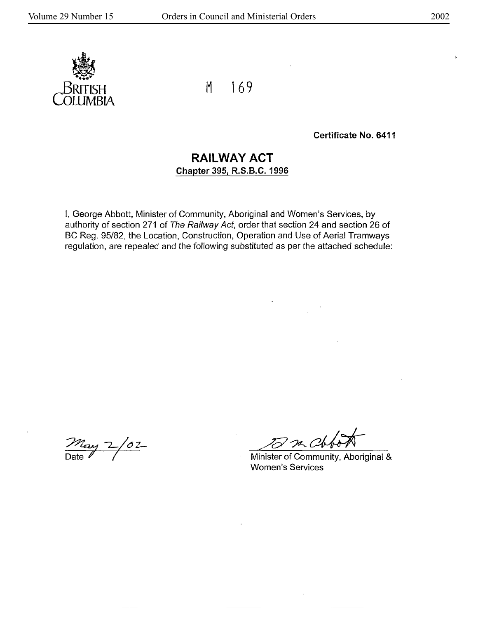$\mathbf{r}$ 



M 169

Certificate No. 6411

## **RAILWAY ACT Chapter 395, R.S.8.C. 1996**

I, George Abbott, Minister of Community, Aboriginal and Women's Services, by authority of section 271 of The Railway Act, order that section 24 and section 26 of BC Reg. 95/82, the Location, Construction, Operation and Use of Aerial Tramways regulation, are repealed and the following substituted as per the attached schedule:

 $\frac{m_{\text{av}}}{\text{Date}}$  2/02

m Ch

Minister of Community, Aboriginal & Women's Services